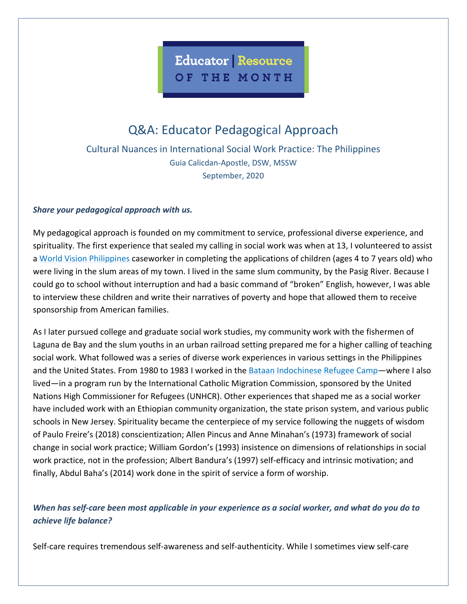

## Q&A: Educator Pedagogical Approach

Cultural Nuances in International Social Work Practice: The Philippines Guia Calicdan-Apostle, DSW, MSSW September, 2020

## *Share your pedagogical approach with us.*

My pedagogical approach is founded on my commitment to service, professional diverse experience, and spirituality. The first experience that sealed my calling in social work was when at 13, I volunteered to assist a [World Vision Philippines](https://www.worldvision.org.ph/) caseworker in completing the applications of children (ages 4 to 7 years old) who were living in the slum areas of my town. I lived in the same slum community, by the Pasig River. Because I could go to school without interruption and had a basic command of "broken" English, however, I was able to interview these children and write their narratives of poverty and hope that allowed them to receive sponsorship from American families.

As I later pursued college and graduate social work studies, my community work with the fishermen of Laguna de Bay and the slum youths in an urban railroad setting prepared me for a higher calling of teaching social work. What followed was a series of diverse work experiences in various settings in the Philippines and the United States. From 1980 to 1983 I worked in the [Bataan Indochinese Refugee Camp—](https://refugeecamps.net/BAStory.html)where I also lived—in a program run by the International Catholic Migration Commission, sponsored by the United Nations High Commissioner for Refugees (UNHCR). Other experiences that shaped me as a social worker have included work with an Ethiopian community organization, the state prison system, and various public schools in New Jersey. Spirituality became the centerpiece of my service following the nuggets of wisdom of Paulo Freire's (2018) conscientization; Allen Pincus and Anne Minahan's (1973) framework of social change in social work practice; William Gordon's (1993) insistence on dimensions of relationships in social work practice, not in the profession; Albert Bandura's (1997) self-efficacy and intrinsic motivation; and finally, Abdul Baha's (2014) work done in the spirit of service a form of worship.

## *When has self-care been most applicable in your experience as a social worker, and what do you do to achieve life balance?*

Self-care requires tremendous self-awareness and self-authenticity. While I sometimes view self-care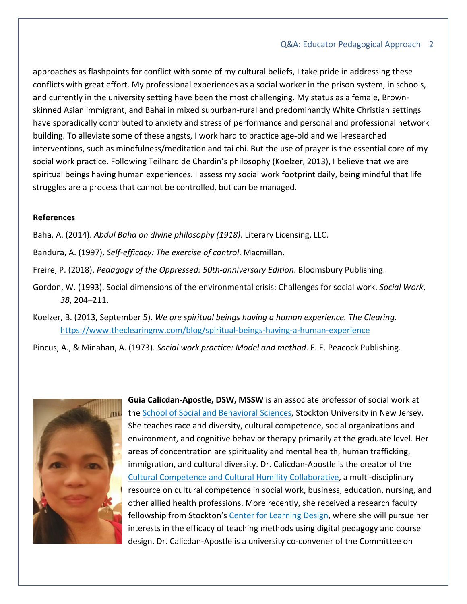approaches as flashpoints for conflict with some of my cultural beliefs, I take pride in addressing these conflicts with great effort. My professional experiences as a social worker in the prison system, in schools, and currently in the university setting have been the most challenging. My status as a female, Brownskinned Asian immigrant, and Bahai in mixed suburban-rural and predominantly White Christian settings have sporadically contributed to anxiety and stress of performance and personal and professional network building. To alleviate some of these angsts, I work hard to practice age-old and well-researched interventions, such as mindfulness/meditation and tai chi. But the use of prayer is the essential core of my social work practice. Following Teilhard de Chardin's philosophy (Koelzer, 2013), I believe that we are spiritual beings having human experiences. I assess my social work footprint daily, being mindful that life struggles are a process that cannot be controlled, but can be managed.

## **References**

- Baha, A. (2014). *Abdul Baha on divine philosophy (1918)*. Literary Licensing, LLC.
- Bandura, A. (1997). *Self-efficacy: The exercise of control*. Macmillan.
- Freire, P. (2018). *Pedagogy of the Oppressed: 50th-anniversary Edition*. Bloomsbury Publishing.
- Gordon, W. (1993). Social dimensions of the environmental crisis: Challenges for social work. *Social Work*, *38*, 204–211.
- Koelzer, B. (2013, September 5). *We are spiritual beings having a human experience. The Clearing.* <https://www.theclearingnw.com/blog/spiritual-beings-having-a-human-experience>

Pincus, A., & Minahan, A. (1973). *Social work practice: Model and method*. F. E. Peacock Publishing.



**Guia Calicdan-Apostle, DSW, MSSW** is an associate professor of social work at the [School of Social and Behavioral Sciences,](https://stockton.edu/social-behavioral-sciences/) Stockton University in New Jersey. She teaches race and diversity, cultural competence, social organizations and environment, and cognitive behavior therapy primarily at the graduate level. Her areas of concentration are spirituality and mental health, human trafficking, immigration, and cultural diversity. Dr. Calicdan-Apostle is the creator of the [Cultural Competence and Cultural Humility Collaborative,](https://stockton.edu/diversity-inclusion/cultural-competence-humility.html) a multi-disciplinary resource on cultural competence in social work, business, education, nursing, and other allied health professions. More recently, she received a research faculty fellowship from Stockton's [Center for Learning Design,](https://stockton.edu/cld/) where she will pursue her interests in the efficacy of teaching methods using digital pedagogy and course design. Dr. Calicdan-Apostle is a university co-convener of the Committee on